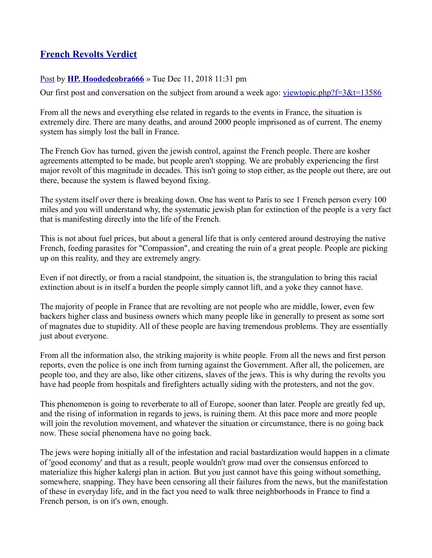## **[French Revolts Verdict](https://ancient-forums.com/viewtopic.php?f=3&t=13716&hilit=Paris#p55356)**

## [Post](https://ancient-forums.com/viewtopic.php?p=55356#p55356) by **[HP. Hoodedcobra666](https://ancient-forums.com/memberlist.php?mode=viewprofile&u=48)** » Tue Dec 11, 2018 11:31 pm

Our first post and conversation on the subject from around a week ago: [viewtopic.php?f=3&t=13586](https://www.ancient-forums.com/viewtopic.php?f=3&t=13586)

From all the news and everything else related in regards to the events in France, the situation is extremely dire. There are many deaths, and around 2000 people imprisoned as of current. The enemy system has simply lost the ball in France.

The French Gov has turned, given the jewish control, against the French people. There are kosher agreements attempted to be made, but people aren't stopping. We are probably experiencing the first major revolt of this magnitude in decades. This isn't going to stop either, as the people out there, are out there, because the system is flawed beyond fixing.

The system itself over there is breaking down. One has went to Paris to see 1 French person every 100 miles and you will understand why, the systematic jewish plan for extinction of the people is a very fact that is manifesting directly into the life of the French.

This is not about fuel prices, but about a general life that is only centered around destroying the native French, feeding parasites for "Compassion", and creating the ruin of a great people. People are picking up on this reality, and they are extremely angry.

Even if not directly, or from a racial standpoint, the situation is, the strangulation to bring this racial extinction about is in itself a burden the people simply cannot lift, and a yoke they cannot have.

The majority of people in France that are revolting are not people who are middle, lower, even few backers higher class and business owners which many people like in generally to present as some sort of magnates due to stupidity. All of these people are having tremendous problems. They are essentially just about everyone.

From all the information also, the striking majority is white people. From all the news and first person reports, even the police is one inch from turning against the Government. After all, the policemen, are people too, and they are also, like other citizens, slaves of the jews. This is why during the revolts you have had people from hospitals and firefighters actually siding with the protesters, and not the gov.

This phenomenon is going to reverberate to all of Europe, sooner than later. People are greatly fed up, and the rising of information in regards to jews, is ruining them. At this pace more and more people will join the revolution movement, and whatever the situation or circumstance, there is no going back now. These social phenomena have no going back.

The jews were hoping initially all of the infestation and racial bastardization would happen in a climate of 'good economy' and that as a result, people wouldn't grow mad over the consensus enforced to materialize this higher kalergi plan in action. But you just cannot have this going without something, somewhere, snapping. They have been censoring all their failures from the news, but the manifestation of these in everyday life, and in the fact you need to walk three neighborhoods in France to find a French person, is on it's own, enough.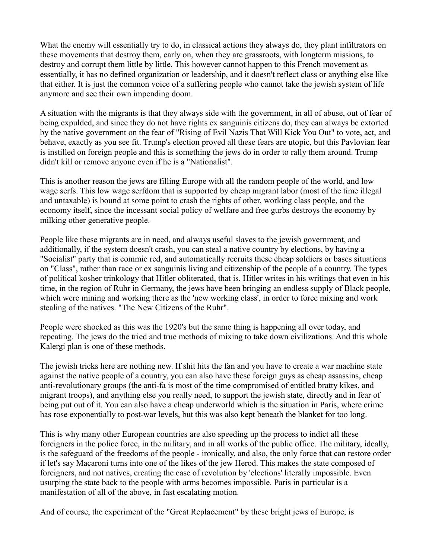What the enemy will essentially try to do, in classical actions they always do, they plant infiltrators on these movements that destroy them, early on, when they are grassroots, with longterm missions, to destroy and corrupt them little by little. This however cannot happen to this French movement as essentially, it has no defined organization or leadership, and it doesn't reflect class or anything else like that either. It is just the common voice of a suffering people who cannot take the jewish system of life anymore and see their own impending doom.

A situation with the migrants is that they always side with the government, in all of abuse, out of fear of being expulded, and since they do not have rights ex sanguinis citizens do, they can always be extorted by the native government on the fear of "Rising of Evil Nazis That Will Kick You Out" to vote, act, and behave, exactly as you see fit. Trump's election proved all these fears are utopic, but this Pavlovian fear is instilled on foreign people and this is something the jews do in order to rally them around. Trump didn't kill or remove anyone even if he is a "Nationalist".

This is another reason the jews are filling Europe with all the random people of the world, and low wage serfs. This low wage serfdom that is supported by cheap migrant labor (most of the time illegal and untaxable) is bound at some point to crash the rights of other, working class people, and the economy itself, since the incessant social policy of welfare and free gurbs destroys the economy by milking other generative people.

People like these migrants are in need, and always useful slaves to the jewish government, and additionally, if the system doesn't crash, you can steal a native country by elections, by having a "Socialist" party that is commie red, and automatically recruits these cheap soldiers or bases situations on "Class", rather than race or ex sanguinis living and citizenship of the people of a country. The types of political kosher trinkology that Hitler obliterated, that is. Hitler writes in his writings that even in his time, in the region of Ruhr in Germany, the jews have been bringing an endless supply of Black people, which were mining and working there as the 'new working class', in order to force mixing and work stealing of the natives. "The New Citizens of the Ruhr".

People were shocked as this was the 1920's but the same thing is happening all over today, and repeating. The jews do the tried and true methods of mixing to take down civilizations. And this whole Kalergi plan is one of these methods.

The jewish tricks here are nothing new. If shit hits the fan and you have to create a war machine state against the native people of a country, you can also have these foreign guys as cheap assassins, cheap anti-revolutionary groups (the anti-fa is most of the time compromised of entitled bratty kikes, and migrant troops), and anything else you really need, to support the jewish state, directly and in fear of being put out of it. You can also have a cheap underworld which is the situation in Paris, where crime has rose exponentially to post-war levels, but this was also kept beneath the blanket for too long.

This is why many other European countries are also speeding up the process to indict all these foreigners in the police force, in the military, and in all works of the public office. The military, ideally, is the safeguard of the freedoms of the people - ironically, and also, the only force that can restore order if let's say Macaroni turns into one of the likes of the jew Herod. This makes the state composed of foreigners, and not natives, creating the case of revolution by 'elections' literally impossible. Even usurping the state back to the people with arms becomes impossible. Paris in particular is a manifestation of all of the above, in fast escalating motion.

And of course, the experiment of the "Great Replacement" by these bright jews of Europe, is